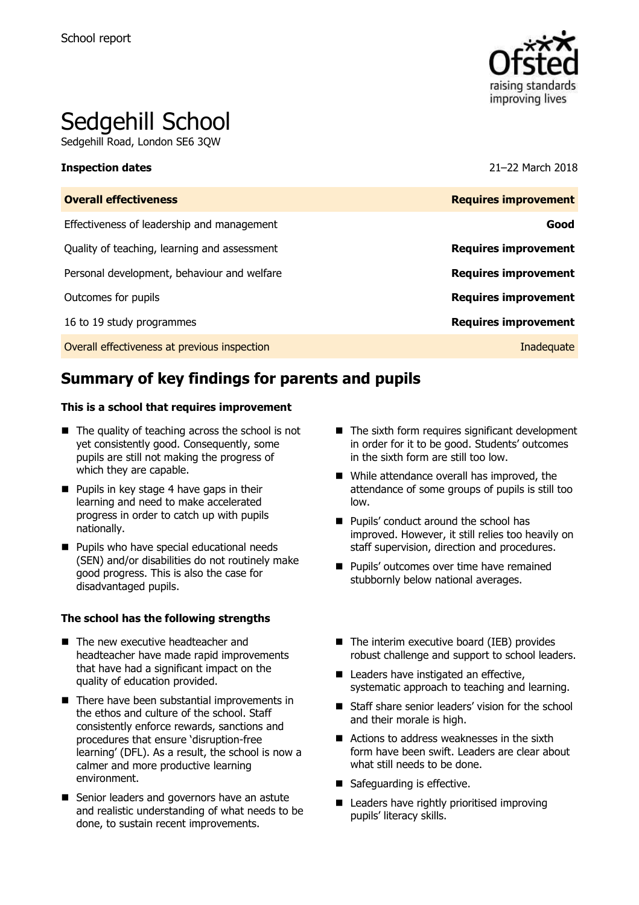

# Sedgehill School

Sedgehill Road, London SE6 3QW

| <b>Inspection dates</b>                      | 21-22 March 2018            |
|----------------------------------------------|-----------------------------|
| <b>Overall effectiveness</b>                 | <b>Requires improvement</b> |
| Effectiveness of leadership and management   | Good                        |
| Quality of teaching, learning and assessment | <b>Requires improvement</b> |
| Personal development, behaviour and welfare  | <b>Requires improvement</b> |
| Outcomes for pupils                          | <b>Requires improvement</b> |
| 16 to 19 study programmes                    | <b>Requires improvement</b> |
| Overall effectiveness at previous inspection | Inadequate                  |

# **Summary of key findings for parents and pupils**

### **This is a school that requires improvement**

- $\blacksquare$  The quality of teaching across the school is not yet consistently good. Consequently, some pupils are still not making the progress of which they are capable.
- **Pupils in key stage 4 have gaps in their** learning and need to make accelerated progress in order to catch up with pupils nationally.
- **Pupils who have special educational needs** (SEN) and/or disabilities do not routinely make good progress. This is also the case for disadvantaged pupils.

### **The school has the following strengths**

- The new executive headteacher and headteacher have made rapid improvements that have had a significant impact on the quality of education provided.
- $\blacksquare$  There have been substantial improvements in the ethos and culture of the school. Staff consistently enforce rewards, sanctions and procedures that ensure 'disruption-free learning' (DFL). As a result, the school is now a calmer and more productive learning environment.
- Senior leaders and governors have an astute and realistic understanding of what needs to be done, to sustain recent improvements.
- $\blacksquare$  The sixth form requires significant development in order for it to be good. Students' outcomes in the sixth form are still too low.
- While attendance overall has improved, the attendance of some groups of pupils is still too low.
- **Pupils' conduct around the school has** improved. However, it still relies too heavily on staff supervision, direction and procedures.
- **Pupils' outcomes over time have remained** stubbornly below national averages.
- The interim executive board (IEB) provides robust challenge and support to school leaders.
- Leaders have instigated an effective, systematic approach to teaching and learning.
- Staff share senior leaders' vision for the school and their morale is high.
- Actions to address weaknesses in the sixth form have been swift. Leaders are clear about what still needs to be done.
- Safeguarding is effective.
- Leaders have rightly prioritised improving pupils' literacy skills.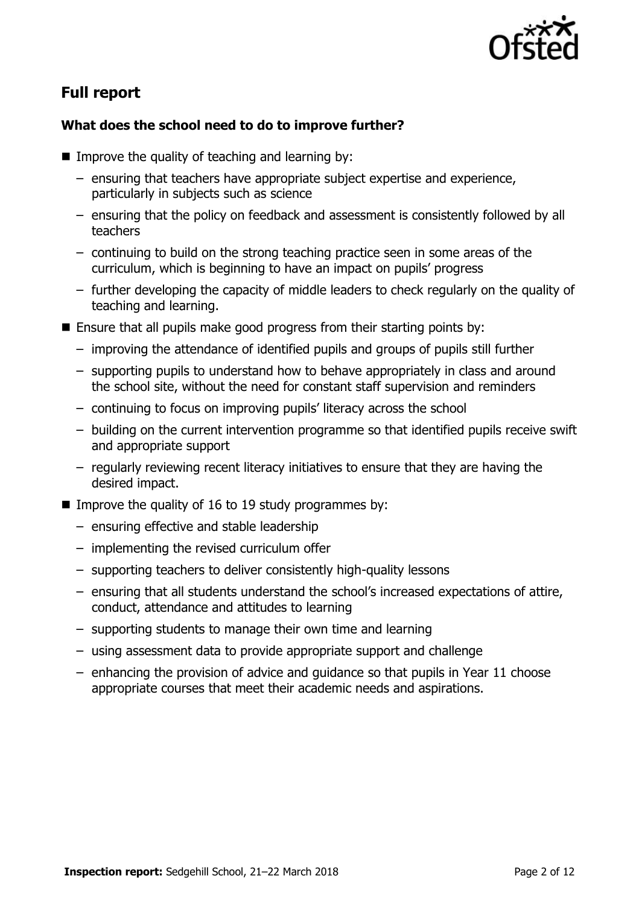

# **Full report**

# **What does the school need to do to improve further?**

- **IMPROVE the quality of teaching and learning by:** 
	- ensuring that teachers have appropriate subject expertise and experience, particularly in subjects such as science
	- ensuring that the policy on feedback and assessment is consistently followed by all teachers
	- continuing to build on the strong teaching practice seen in some areas of the curriculum, which is beginning to have an impact on pupils' progress
	- further developing the capacity of middle leaders to check regularly on the quality of teaching and learning.
- $\blacksquare$  Ensure that all pupils make good progress from their starting points by:
	- improving the attendance of identified pupils and groups of pupils still further
	- supporting pupils to understand how to behave appropriately in class and around the school site, without the need for constant staff supervision and reminders
	- continuing to focus on improving pupils' literacy across the school
	- building on the current intervention programme so that identified pupils receive swift and appropriate support
	- regularly reviewing recent literacy initiatives to ensure that they are having the desired impact.
- Improve the quality of 16 to 19 study programmes by:
	- ensuring effective and stable leadership
	- implementing the revised curriculum offer
	- supporting teachers to deliver consistently high-quality lessons
	- ensuring that all students understand the school's increased expectations of attire, conduct, attendance and attitudes to learning
	- supporting students to manage their own time and learning
	- using assessment data to provide appropriate support and challenge
	- enhancing the provision of advice and guidance so that pupils in Year 11 choose appropriate courses that meet their academic needs and aspirations.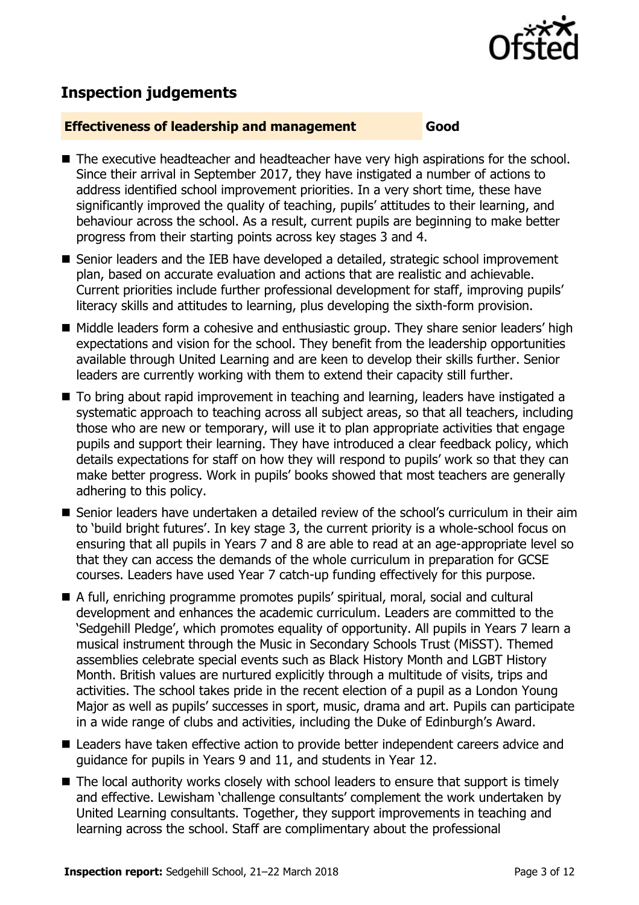

# **Inspection judgements**

### **Effectiveness of leadership and management Good**

- The executive headteacher and headteacher have very high aspirations for the school. Since their arrival in September 2017, they have instigated a number of actions to address identified school improvement priorities. In a very short time, these have significantly improved the quality of teaching, pupils' attitudes to their learning, and behaviour across the school. As a result, current pupils are beginning to make better progress from their starting points across key stages 3 and 4.
- Senior leaders and the IEB have developed a detailed, strategic school improvement plan, based on accurate evaluation and actions that are realistic and achievable. Current priorities include further professional development for staff, improving pupils' literacy skills and attitudes to learning, plus developing the sixth-form provision.
- Middle leaders form a cohesive and enthusiastic group. They share senior leaders' high expectations and vision for the school. They benefit from the leadership opportunities available through United Learning and are keen to develop their skills further. Senior leaders are currently working with them to extend their capacity still further.
- To bring about rapid improvement in teaching and learning, leaders have instigated a systematic approach to teaching across all subject areas, so that all teachers, including those who are new or temporary, will use it to plan appropriate activities that engage pupils and support their learning. They have introduced a clear feedback policy, which details expectations for staff on how they will respond to pupils' work so that they can make better progress. Work in pupils' books showed that most teachers are generally adhering to this policy.
- Senior leaders have undertaken a detailed review of the school's curriculum in their aim to 'build bright futures'. In key stage 3, the current priority is a whole-school focus on ensuring that all pupils in Years 7 and 8 are able to read at an age-appropriate level so that they can access the demands of the whole curriculum in preparation for GCSE courses. Leaders have used Year 7 catch-up funding effectively for this purpose.
- A full, enriching programme promotes pupils' spiritual, moral, social and cultural development and enhances the academic curriculum. Leaders are committed to the 'Sedgehill Pledge', which promotes equality of opportunity. All pupils in Years 7 learn a musical instrument through the Music in Secondary Schools Trust (MiSST). Themed assemblies celebrate special events such as Black History Month and LGBT History Month. British values are nurtured explicitly through a multitude of visits, trips and activities. The school takes pride in the recent election of a pupil as a London Young Major as well as pupils' successes in sport, music, drama and art. Pupils can participate in a wide range of clubs and activities, including the Duke of Edinburgh's Award.
- Leaders have taken effective action to provide better independent careers advice and guidance for pupils in Years 9 and 11, and students in Year 12.
- $\blacksquare$  The local authority works closely with school leaders to ensure that support is timely and effective. Lewisham 'challenge consultants' complement the work undertaken by United Learning consultants. Together, they support improvements in teaching and learning across the school. Staff are complimentary about the professional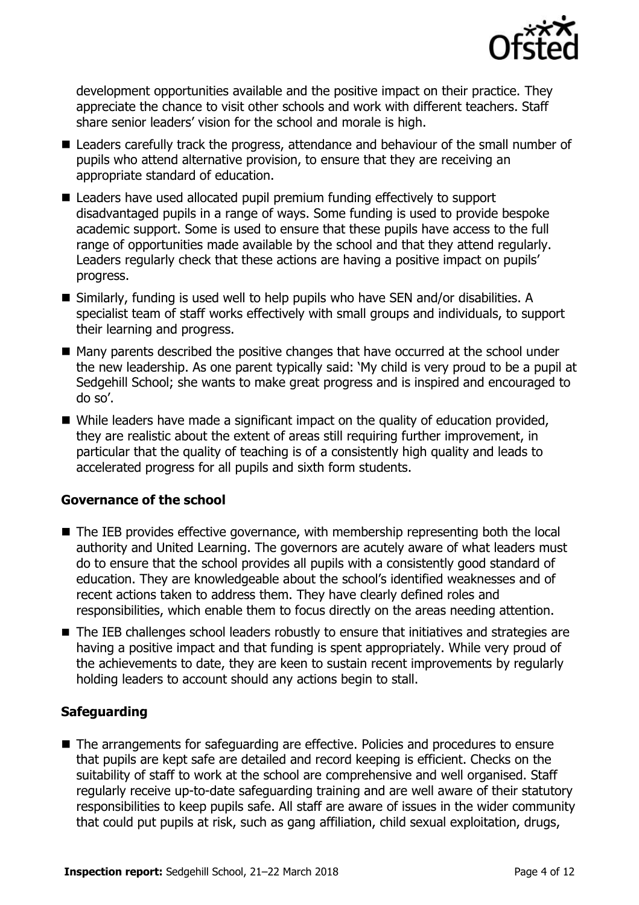

development opportunities available and the positive impact on their practice. They appreciate the chance to visit other schools and work with different teachers. Staff share senior leaders' vision for the school and morale is high.

- Leaders carefully track the progress, attendance and behaviour of the small number of pupils who attend alternative provision, to ensure that they are receiving an appropriate standard of education.
- Leaders have used allocated pupil premium funding effectively to support disadvantaged pupils in a range of ways. Some funding is used to provide bespoke academic support. Some is used to ensure that these pupils have access to the full range of opportunities made available by the school and that they attend regularly. Leaders regularly check that these actions are having a positive impact on pupils' progress.
- Similarly, funding is used well to help pupils who have SEN and/or disabilities. A specialist team of staff works effectively with small groups and individuals, to support their learning and progress.
- Many parents described the positive changes that have occurred at the school under the new leadership. As one parent typically said: 'My child is very proud to be a pupil at Sedgehill School; she wants to make great progress and is inspired and encouraged to do so'.
- $\blacksquare$  While leaders have made a significant impact on the quality of education provided, they are realistic about the extent of areas still requiring further improvement, in particular that the quality of teaching is of a consistently high quality and leads to accelerated progress for all pupils and sixth form students.

# **Governance of the school**

- The IEB provides effective governance, with membership representing both the local authority and United Learning. The governors are acutely aware of what leaders must do to ensure that the school provides all pupils with a consistently good standard of education. They are knowledgeable about the school's identified weaknesses and of recent actions taken to address them. They have clearly defined roles and responsibilities, which enable them to focus directly on the areas needing attention.
- The IEB challenges school leaders robustly to ensure that initiatives and strategies are having a positive impact and that funding is spent appropriately. While very proud of the achievements to date, they are keen to sustain recent improvements by regularly holding leaders to account should any actions begin to stall.

# **Safeguarding**

■ The arrangements for safeguarding are effective. Policies and procedures to ensure that pupils are kept safe are detailed and record keeping is efficient. Checks on the suitability of staff to work at the school are comprehensive and well organised. Staff regularly receive up-to-date safeguarding training and are well aware of their statutory responsibilities to keep pupils safe. All staff are aware of issues in the wider community that could put pupils at risk, such as gang affiliation, child sexual exploitation, drugs,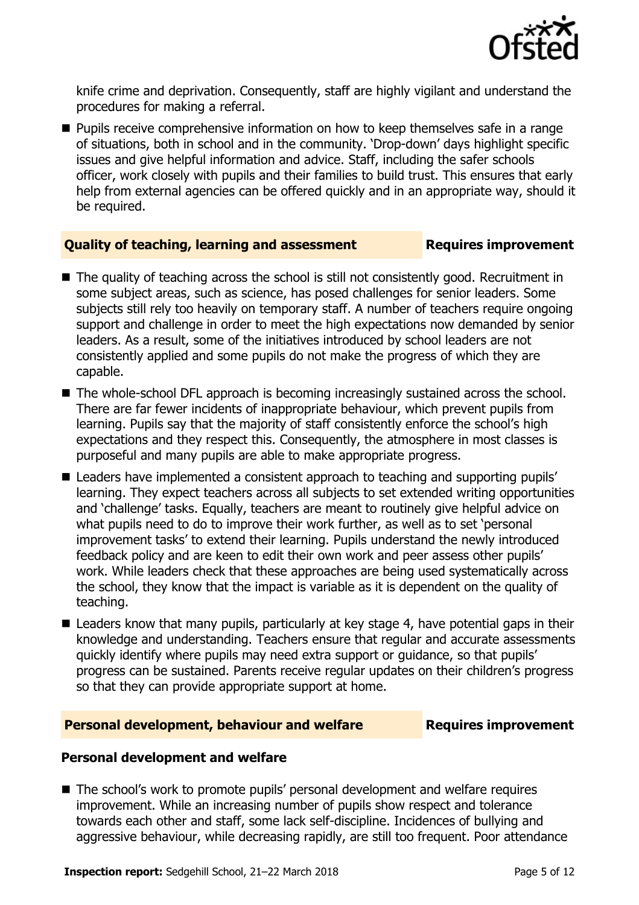

knife crime and deprivation. Consequently, staff are highly vigilant and understand the procedures for making a referral.

**Pupils receive comprehensive information on how to keep themselves safe in a range** of situations, both in school and in the community. 'Drop-down' days highlight specific issues and give helpful information and advice. Staff, including the safer schools officer, work closely with pupils and their families to build trust. This ensures that early help from external agencies can be offered quickly and in an appropriate way, should it be required.

# **Quality of teaching, learning and assessment Requires improvement**

- The quality of teaching across the school is still not consistently good. Recruitment in some subject areas, such as science, has posed challenges for senior leaders. Some subjects still rely too heavily on temporary staff. A number of teachers require ongoing support and challenge in order to meet the high expectations now demanded by senior leaders. As a result, some of the initiatives introduced by school leaders are not consistently applied and some pupils do not make the progress of which they are capable.
- The whole-school DFL approach is becoming increasingly sustained across the school. There are far fewer incidents of inappropriate behaviour, which prevent pupils from learning. Pupils say that the majority of staff consistently enforce the school's high expectations and they respect this. Consequently, the atmosphere in most classes is purposeful and many pupils are able to make appropriate progress.
- Leaders have implemented a consistent approach to teaching and supporting pupils' learning. They expect teachers across all subjects to set extended writing opportunities and 'challenge' tasks. Equally, teachers are meant to routinely give helpful advice on what pupils need to do to improve their work further, as well as to set 'personal improvement tasks' to extend their learning. Pupils understand the newly introduced feedback policy and are keen to edit their own work and peer assess other pupils' work. While leaders check that these approaches are being used systematically across the school, they know that the impact is variable as it is dependent on the quality of teaching.
- Leaders know that many pupils, particularly at key stage 4, have potential gaps in their knowledge and understanding. Teachers ensure that regular and accurate assessments quickly identify where pupils may need extra support or guidance, so that pupils' progress can be sustained. Parents receive regular updates on their children's progress so that they can provide appropriate support at home.

# **Personal development, behaviour and welfare Fig. 2.1 Requires improvement**

# **Personal development and welfare**

■ The school's work to promote pupils' personal development and welfare requires improvement. While an increasing number of pupils show respect and tolerance towards each other and staff, some lack self-discipline. Incidences of bullying and aggressive behaviour, while decreasing rapidly, are still too frequent. Poor attendance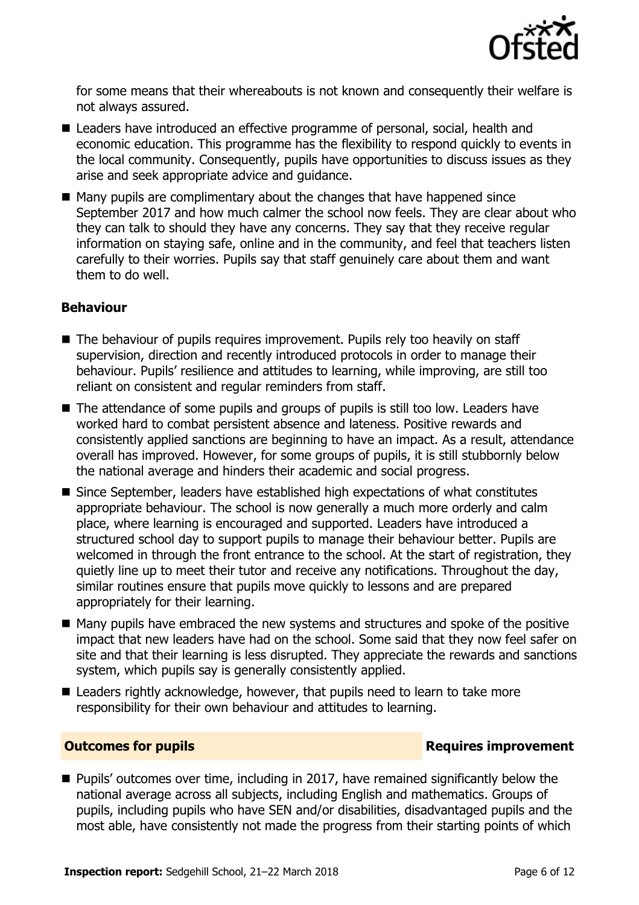

for some means that their whereabouts is not known and consequently their welfare is not always assured.

- Leaders have introduced an effective programme of personal, social, health and economic education. This programme has the flexibility to respond quickly to events in the local community. Consequently, pupils have opportunities to discuss issues as they arise and seek appropriate advice and guidance.
- Many pupils are complimentary about the changes that have happened since September 2017 and how much calmer the school now feels. They are clear about who they can talk to should they have any concerns. They say that they receive regular information on staying safe, online and in the community, and feel that teachers listen carefully to their worries. Pupils say that staff genuinely care about them and want them to do well.

# **Behaviour**

- The behaviour of pupils requires improvement. Pupils rely too heavily on staff supervision, direction and recently introduced protocols in order to manage their behaviour. Pupils' resilience and attitudes to learning, while improving, are still too reliant on consistent and regular reminders from staff.
- The attendance of some pupils and groups of pupils is still too low. Leaders have worked hard to combat persistent absence and lateness. Positive rewards and consistently applied sanctions are beginning to have an impact. As a result, attendance overall has improved. However, for some groups of pupils, it is still stubbornly below the national average and hinders their academic and social progress.
- Since September, leaders have established high expectations of what constitutes appropriate behaviour. The school is now generally a much more orderly and calm place, where learning is encouraged and supported. Leaders have introduced a structured school day to support pupils to manage their behaviour better. Pupils are welcomed in through the front entrance to the school. At the start of registration, they quietly line up to meet their tutor and receive any notifications. Throughout the day, similar routines ensure that pupils move quickly to lessons and are prepared appropriately for their learning.
- Many pupils have embraced the new systems and structures and spoke of the positive impact that new leaders have had on the school. Some said that they now feel safer on site and that their learning is less disrupted. They appreciate the rewards and sanctions system, which pupils say is generally consistently applied.
- Leaders rightly acknowledge, however, that pupils need to learn to take more responsibility for their own behaviour and attitudes to learning.

# **Outcomes for pupils Requires improvement**

■ Pupils' outcomes over time, including in 2017, have remained significantly below the national average across all subjects, including English and mathematics. Groups of pupils, including pupils who have SEN and/or disabilities, disadvantaged pupils and the most able, have consistently not made the progress from their starting points of which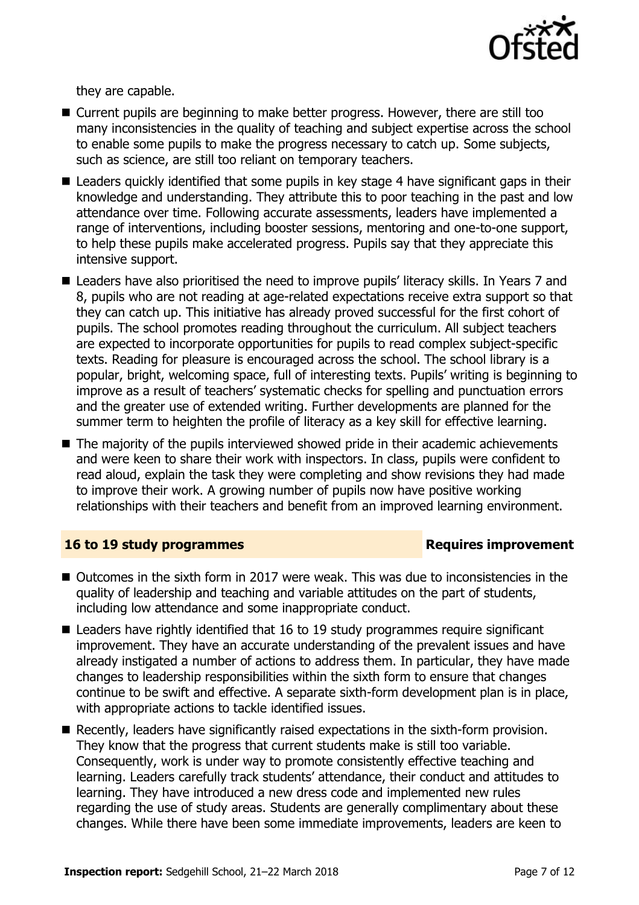

they are capable.

- Current pupils are beginning to make better progress. However, there are still too many inconsistencies in the quality of teaching and subject expertise across the school to enable some pupils to make the progress necessary to catch up. Some subjects, such as science, are still too reliant on temporary teachers.
- Leaders quickly identified that some pupils in key stage 4 have significant gaps in their knowledge and understanding. They attribute this to poor teaching in the past and low attendance over time. Following accurate assessments, leaders have implemented a range of interventions, including booster sessions, mentoring and one-to-one support, to help these pupils make accelerated progress. Pupils say that they appreciate this intensive support.
- Leaders have also prioritised the need to improve pupils' literacy skills. In Years 7 and 8, pupils who are not reading at age-related expectations receive extra support so that they can catch up. This initiative has already proved successful for the first cohort of pupils. The school promotes reading throughout the curriculum. All subject teachers are expected to incorporate opportunities for pupils to read complex subject-specific texts. Reading for pleasure is encouraged across the school. The school library is a popular, bright, welcoming space, full of interesting texts. Pupils' writing is beginning to improve as a result of teachers' systematic checks for spelling and punctuation errors and the greater use of extended writing. Further developments are planned for the summer term to heighten the profile of literacy as a key skill for effective learning.
- $\blacksquare$  The majority of the pupils interviewed showed pride in their academic achievements and were keen to share their work with inspectors. In class, pupils were confident to read aloud, explain the task they were completing and show revisions they had made to improve their work. A growing number of pupils now have positive working relationships with their teachers and benefit from an improved learning environment.

# **16 to 19 study programmes Requires improvement**

- Outcomes in the sixth form in 2017 were weak. This was due to inconsistencies in the quality of leadership and teaching and variable attitudes on the part of students, including low attendance and some inappropriate conduct.
- Leaders have rightly identified that 16 to 19 study programmes require significant improvement. They have an accurate understanding of the prevalent issues and have already instigated a number of actions to address them. In particular, they have made changes to leadership responsibilities within the sixth form to ensure that changes continue to be swift and effective. A separate sixth-form development plan is in place, with appropriate actions to tackle identified issues.
- Recently, leaders have significantly raised expectations in the sixth-form provision. They know that the progress that current students make is still too variable. Consequently, work is under way to promote consistently effective teaching and learning. Leaders carefully track students' attendance, their conduct and attitudes to learning. They have introduced a new dress code and implemented new rules regarding the use of study areas. Students are generally complimentary about these changes. While there have been some immediate improvements, leaders are keen to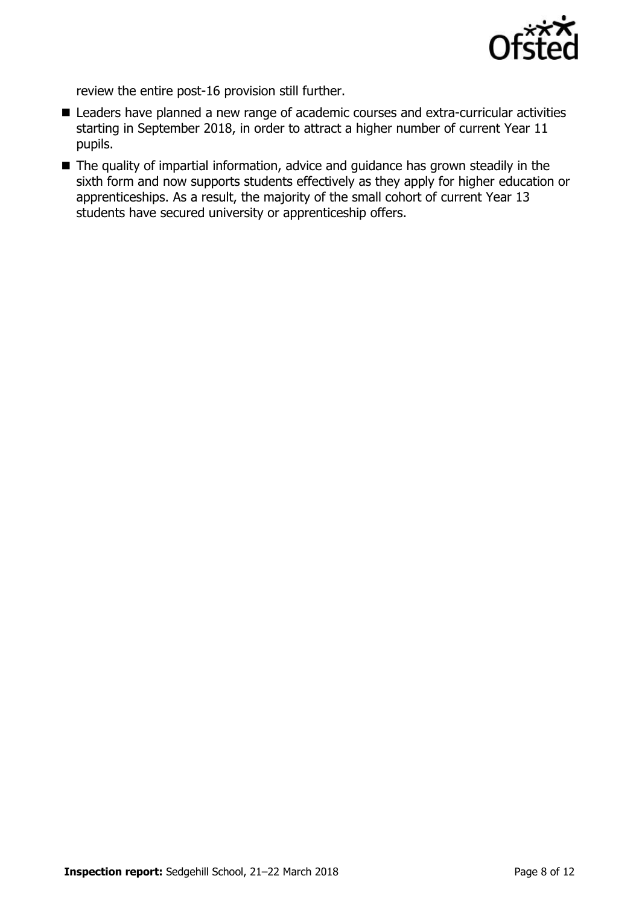

review the entire post-16 provision still further.

- Leaders have planned a new range of academic courses and extra-curricular activities starting in September 2018, in order to attract a higher number of current Year 11 pupils.
- The quality of impartial information, advice and guidance has grown steadily in the sixth form and now supports students effectively as they apply for higher education or apprenticeships. As a result, the majority of the small cohort of current Year 13 students have secured university or apprenticeship offers.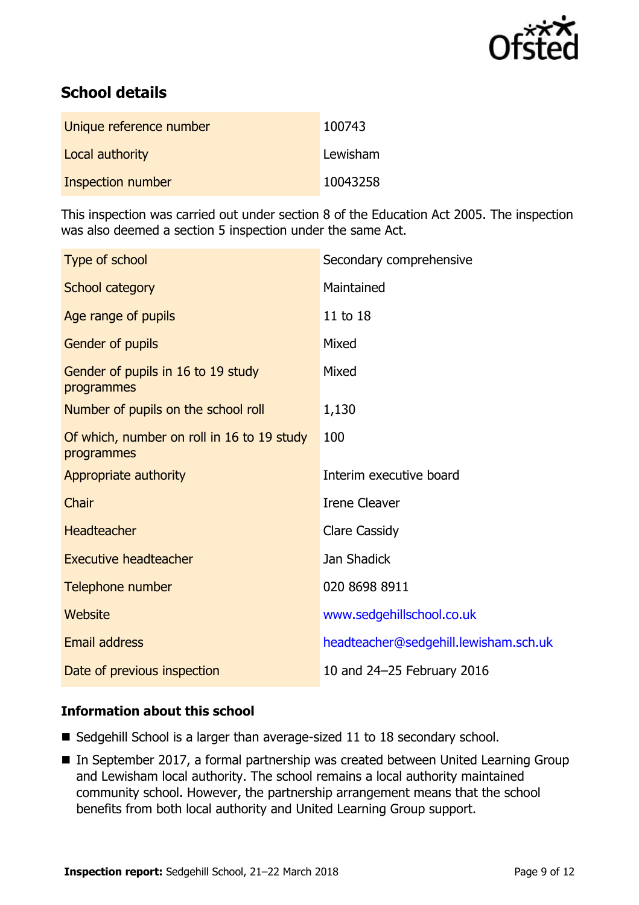

# **School details**

| Unique reference number | 100743   |
|-------------------------|----------|
| Local authority         | Lewisham |
| Inspection number       | 10043258 |

This inspection was carried out under section 8 of the Education Act 2005. The inspection was also deemed a section 5 inspection under the same Act.

| Type of school                                           | Secondary comprehensive               |
|----------------------------------------------------------|---------------------------------------|
| School category                                          | Maintained                            |
| Age range of pupils                                      | 11 to 18                              |
| Gender of pupils                                         | Mixed                                 |
| Gender of pupils in 16 to 19 study<br>programmes         | Mixed                                 |
| Number of pupils on the school roll                      | 1,130                                 |
| Of which, number on roll in 16 to 19 study<br>programmes | 100                                   |
| Appropriate authority                                    | Interim executive board               |
| Chair                                                    | <b>Irene Cleaver</b>                  |
| Headteacher                                              | <b>Clare Cassidy</b>                  |
| <b>Executive headteacher</b>                             | Jan Shadick                           |
| Telephone number                                         | 020 8698 8911                         |
| Website                                                  | www.sedgehillschool.co.uk             |
| <b>Email address</b>                                     | headteacher@sedgehill.lewisham.sch.uk |
| Date of previous inspection                              | 10 and 24-25 February 2016            |

# **Information about this school**

- $\blacksquare$  Sedgehill School is a larger than average-sized 11 to 18 secondary school.
- In September 2017, a formal partnership was created between United Learning Group and Lewisham local authority. The school remains a local authority maintained community school. However, the partnership arrangement means that the school benefits from both local authority and United Learning Group support.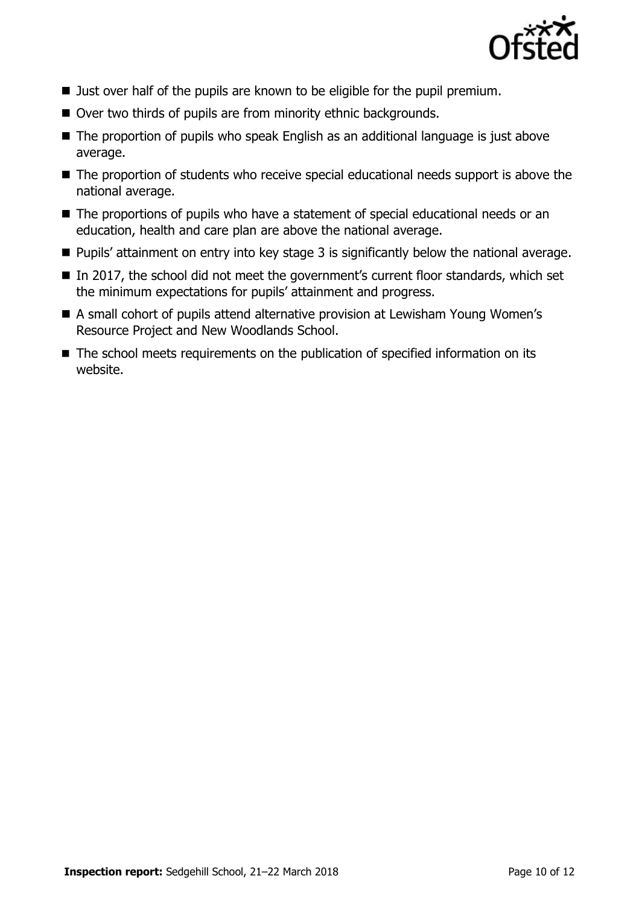

- **Just over half of the pupils are known to be eligible for the pupil premium.**
- Over two thirds of pupils are from minority ethnic backgrounds.
- The proportion of pupils who speak English as an additional language is just above average.
- The proportion of students who receive special educational needs support is above the national average.
- The proportions of pupils who have a statement of special educational needs or an education, health and care plan are above the national average.
- Pupils' attainment on entry into key stage 3 is significantly below the national average.
- $\blacksquare$  In 2017, the school did not meet the government's current floor standards, which set the minimum expectations for pupils' attainment and progress.
- A small cohort of pupils attend alternative provision at Lewisham Young Women's Resource Project and New Woodlands School.
- The school meets requirements on the publication of specified information on its website.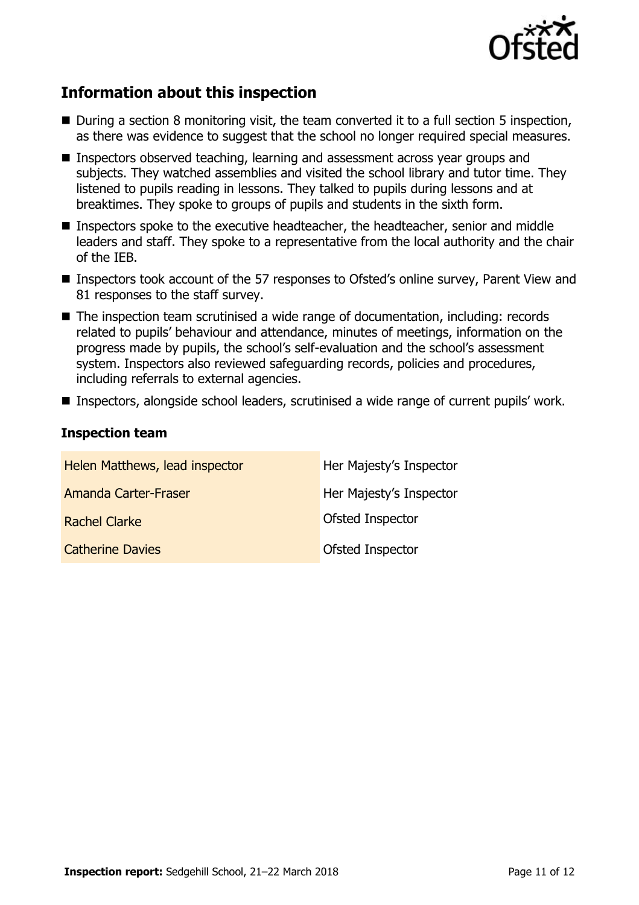

# **Information about this inspection**

- $\blacksquare$  During a section 8 monitoring visit, the team converted it to a full section 5 inspection, as there was evidence to suggest that the school no longer required special measures.
- **Inspectors observed teaching, learning and assessment across year groups and** subjects. They watched assemblies and visited the school library and tutor time. They listened to pupils reading in lessons. They talked to pupils during lessons and at breaktimes. They spoke to groups of pupils and students in the sixth form.
- Inspectors spoke to the executive headteacher, the headteacher, senior and middle leaders and staff. They spoke to a representative from the local authority and the chair of the IEB.
- Inspectors took account of the 57 responses to Ofsted's online survey, Parent View and 81 responses to the staff survey.
- The inspection team scrutinised a wide range of documentation, including: records related to pupils' behaviour and attendance, minutes of meetings, information on the progress made by pupils, the school's self-evaluation and the school's assessment system. Inspectors also reviewed safeguarding records, policies and procedures, including referrals to external agencies.
- Inspectors, alongside school leaders, scrutinised a wide range of current pupils' work.

# **Inspection team**

| Helen Matthews, lead inspector | Her Majesty's Inspector |
|--------------------------------|-------------------------|
| <b>Amanda Carter-Fraser</b>    | Her Majesty's Inspector |
| <b>Rachel Clarke</b>           | Ofsted Inspector        |
| <b>Catherine Davies</b>        | Ofsted Inspector        |